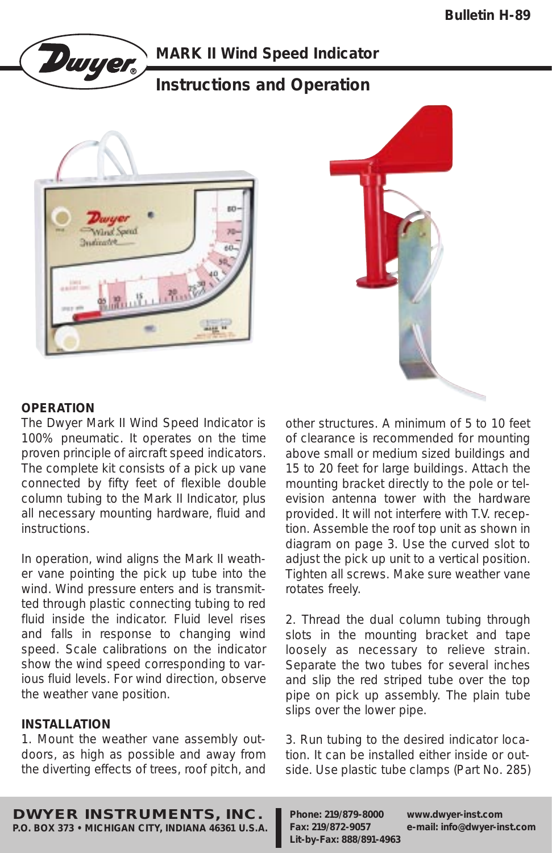

# **MARK II Wind Speed Indicator**

# **Instructions and Operation**





#### **OPERATION**

The Dwyer Mark II Wind Speed Indicator is 100% pneumatic. It operates on the time proven principle of aircraft speed indicators. The complete kit consists of a pick up vane connected by fifty feet of flexible double column tubing to the Mark II Indicator, plus all necessary mounting hardware, fluid and instructions.

In operation, wind aligns the Mark II weather vane pointing the pick up tube into the wind. Wind pressure enters and is transmitted through plastic connecting tubing to red fluid inside the indicator. Fluid level rises and falls in response to changing wind speed. Scale calibrations on the indicator show the wind speed corresponding to various fluid levels. For wind direction, observe the weather vane position.

### **INSTALLATION**

1. Mount the weather vane assembly outdoors, as high as possible and away from the diverting effects of trees, roof pitch, and other structures. A minimum of 5 to 10 feet of clearance is recommended for mounting above small or medium sized buildings and 15 to 20 feet for large buildings. Attach the mounting bracket directly to the pole or television antenna tower with the hardware provided. It will not interfere with T.V. reception. Assemble the roof top unit as shown in diagram on page 3. Use the curved slot to adjust the pick up unit to a vertical position. Tighten all screws. Make sure weather vane rotates freely.

2. Thread the dual column tubing through slots in the mounting bracket and tape loosely as necessary to relieve strain. Separate the two tubes for several inches and slip the red striped tube over the top pipe on pick up assembly. The plain tube slips over the lower pipe.

3. Run tubing to the desired indicator location. It can be installed either inside or outside. Use plastic tube clamps (Part No. 285)

**DWYER INSTRUMENTS, INC. P.O. BOX 373 • MICHIGAN CITY, INDIANA 46361 U.S.A.** **Phone: 219/879-8000 www.dwyer-inst.com Fax: 219/872-9057 e-mail: info@dwyer-inst.com Lit-by-Fax: 888/891-4963**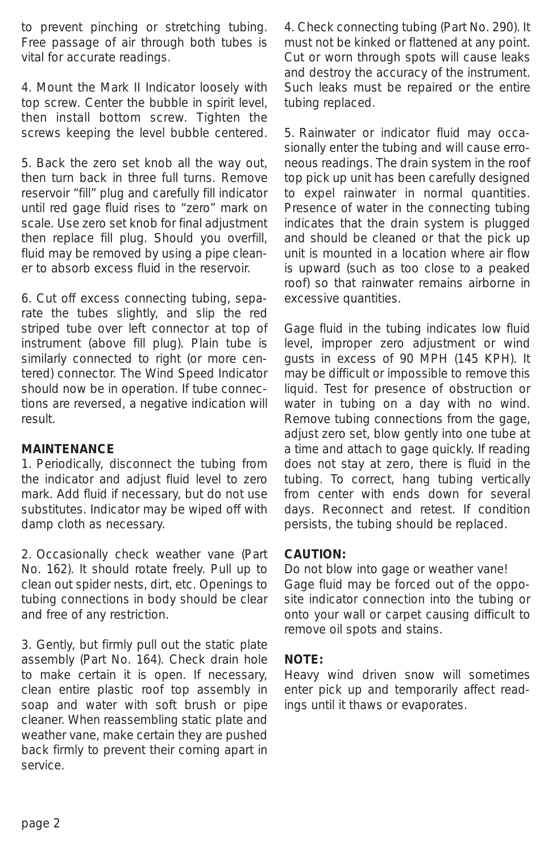to prevent pinching or stretching tubing. Free passage of air through both tubes is vital for accurate readings.

4. Mount the Mark II Indicator loosely with top screw. Center the bubble in spirit level, then install bottom screw. Tighten the screws keeping the level bubble centered.

5. Back the zero set knob all the way out, then turn back in three full turns. Remove reservoir "fill" plug and carefully fill indicator until red gage fluid rises to "zero" mark on scale. Use zero set knob for final adjustment then replace fill plug. Should you overfill, fluid may be removed by using a pipe cleaner to absorb excess fluid in the reservoir.

6. Cut off excess connecting tubing, separate the tubes slightly, and slip the red striped tube over left connector at top of instrument (above fill plug). Plain tube is similarly connected to right (or more centered) connector. The Wind Speed Indicator should now be in operation. If tube connections are reversed, a negative indication will result.

#### **MAINTENANCE**

1. Periodically, disconnect the tubing from the indicator and adjust fluid level to zero mark. Add fluid if necessary, but do not use substitutes. Indicator may be wiped off with damp cloth as necessary.

2. Occasionally check weather vane (Part No. 162). It should rotate freely. Pull up to clean out spider nests, dirt, etc. Openings to tubing connections in body should be clear and free of any restriction.

3. Gently, but firmly pull out the static plate assembly (Part No. 164). Check drain hole to make certain it is open. If necessary, clean entire plastic roof top assembly in soap and water with soft brush or pipe cleaner. When reassembling static plate and weather vane, make certain they are pushed back firmly to prevent their coming apart in service.

4. Check connecting tubing (Part No. 290). It must not be kinked or flattened at any point. Cut or worn through spots will cause leaks and destroy the accuracy of the instrument. Such leaks must be repaired or the entire tubing replaced.

5. Rainwater or indicator fluid may occasionally enter the tubing and will cause erroneous readings. The drain system in the roof top pick up unit has been carefully designed to expel rainwater in normal quantities. Presence of water in the connecting tubing indicates that the drain system is plugged and should be cleaned or that the pick up unit is mounted in a location where air flow is upward (such as too close to a peaked roof) so that rainwater remains airborne in excessive quantities.

Gage fluid in the tubing indicates low fluid level, improper zero adjustment or wind gusts in excess of 90 MPH (145 KPH). It may be difficult or impossible to remove this liquid. Test for presence of obstruction or water in tubing on a day with no wind. Remove tubing connections from the gage, adjust zero set, blow gently into one tube at a time and attach to gage quickly. If reading does not stay at zero, there is fluid in the tubing. To correct, hang tubing vertically from center with ends down for several days. Reconnect and retest. If condition persists, the tubing should be replaced.

### **CAUTION:**

Do not blow into gage or weather vane! Gage fluid may be forced out of the opposite indicator connection into the tubing or onto your wall or carpet causing difficult to remove oil spots and stains.

### **NOTE:**

Heavy wind driven snow will sometimes enter pick up and temporarily affect readings until it thaws or evaporates.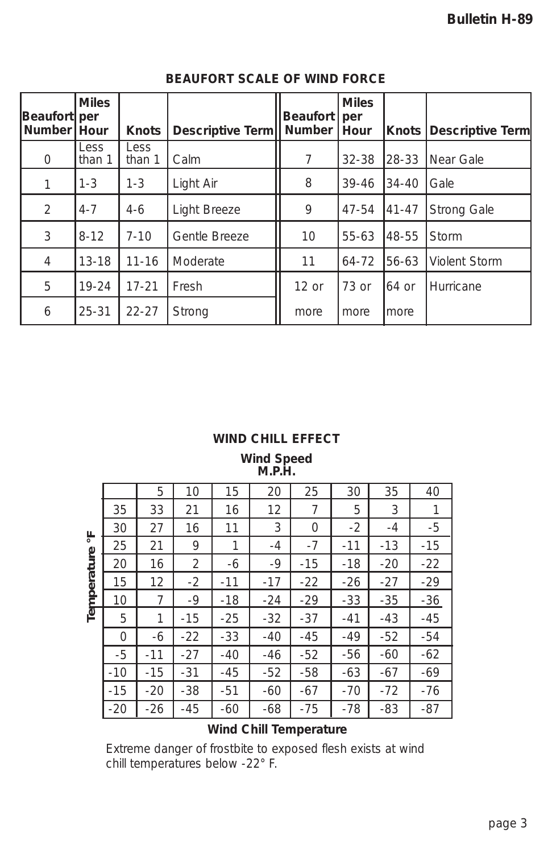| Beaufort   per<br>Number Hour | <b>Miles</b>          | <b>Knots</b>          | Descriptive Term   Number | <b>Beaufort</b> | <b>Miles</b><br>per<br>Hour | Knots     | <b>Descriptive Term</b> |
|-------------------------------|-----------------------|-----------------------|---------------------------|-----------------|-----------------------------|-----------|-------------------------|
| $\circ$                       | <b>Less</b><br>than 1 | <b>Less</b><br>than 1 | Calm                      | 7               | $32 - 38$                   | 28-33     | Near Gale               |
|                               | $1 - 3$               | $1 - 3$               | Light Air                 | 8               | $39 - 46$                   | $34 - 40$ | Gale                    |
| $\overline{2}$                | $4 - 7$               | $4-6$                 | Light Breeze              | 9               | $47 - 54$                   | 41-47     | Strong Gale             |
| 3                             | $8 - 12$              | $7 - 10$              | Gentle Breeze             | 10              | 55-63                       | 48-55     | Storm                   |
| $\overline{4}$                | $13 - 18$             | $11 - 16$             | Moderate                  | 11              | $64 - 72$                   | 56-63     | Violent Storm           |
| 5                             | $19 - 24$             | $17 - 21$             | Fresh                     | $12$ or         | 73 or                       | 164 or    | Hurricane               |
| 6                             | $25 - 31$             | $22 - 27$             | Strong                    | more            | more                        | Imore     |                         |

## **BEAUFORT SCALE OF WIND FORCE**

#### **WIND CHILL EFFECT**

**Wind Speed M.P.H.**

| 造         |       | 5     | 10    | 15    | 20    | 25    | 30    | 35    | 40    |
|-----------|-------|-------|-------|-------|-------|-------|-------|-------|-------|
|           | 35    | 33    | 21    | 16    | 12    | 7     | 5     | 3     | 1     |
|           | 30    | 27    | 16    | 11    | 3     | 0     | $-2$  | $-4$  | -5    |
|           | 25    | 21    | 9     | 1     | $-4$  | $-7$  | $-11$ | $-13$ | $-15$ |
| mperature | 20    | 16    | 2     | -6    | $-9$  | $-15$ | -18   | $-20$ | $-22$ |
|           | 15    | 12    | $-2$  | $-11$ | $-17$ | $-22$ | $-26$ | $-27$ | $-29$ |
|           | 10    | 7     | $-9$  | $-18$ | $-24$ | $-29$ | $-33$ | $-35$ | $-36$ |
| 直         | 5     | 1     | $-15$ | $-25$ | $-32$ | $-37$ | $-41$ | -43   | $-45$ |
|           | 0     | -6    | $-22$ | $-33$ | $-40$ | -45   | -49   | $-52$ | -54   |
|           | -5    | $-11$ | $-27$ | $-40$ | -46   | $-52$ | -56   | -60   | -62   |
|           | $-10$ | $-15$ | $-31$ | -45   | $-52$ | $-58$ | -63   | $-67$ | $-69$ |
|           | $-15$ | $-20$ | -38   | $-51$ | -60   | $-67$ | $-70$ | $-72$ | $-76$ |
|           | $-20$ | $-26$ | $-45$ | -60   | -68   | $-75$ | $-78$ | -83   | -87   |

## **Wind Chill Temperature**

Extreme danger of frostbite to exposed flesh exists at wind chill temperatures below -22° F.